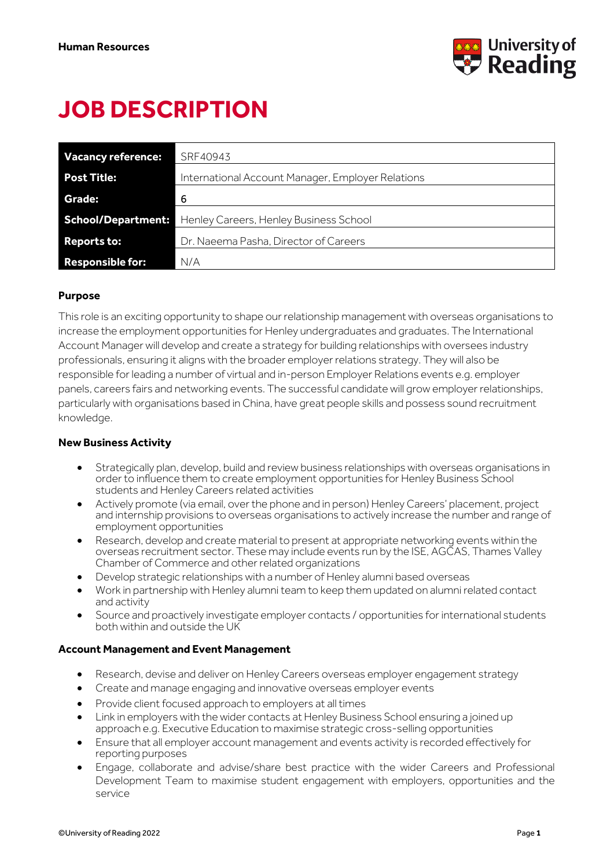

# **JOB DESCRIPTION**

| <b>Vacancy reference:</b> | SRF40943                                          |
|---------------------------|---------------------------------------------------|
| <b>Post Title:</b>        | International Account Manager, Employer Relations |
| <b>Grade:</b>             | -6                                                |
| School/Department:        | Henley Careers, Henley Business School            |
| <b>Reports to:</b>        | Dr. Naeema Pasha, Director of Careers             |
| <b>Responsible for:</b>   | N/A                                               |

# **Purpose**

This role is an exciting opportunity to shape our relationship management with overseas organisations to increase the employment opportunities for Henley undergraduates and graduates. The International Account Manager will develop and create a strategy for building relationships with oversees industry professionals, ensuring it aligns with the broader employer relations strategy. They will also be responsible for leading a number of virtual and in-person Employer Relations events e.g. employer panels, careers fairs and networking events. The successful candidate will grow employer relationships, particularly with organisations based in China, have great people skills and possess sound recruitment knowledge.

# **New Business Activity**

- Strategically plan, develop, build and review business relationships with overseas organisations in order to influence them to create employment opportunities for Henley Business School students and Henley Careers related activities
- Actively promote (via email, over the phone and in person) Henley Careers' placement, project and internship provisions to overseas organisations to actively increase the number and range of employment opportunities
- Research, develop and create material to present at appropriate networking events within the overseas recruitment sector. These may include events run by the ISE, AGCAS, Thames Valley Chamber of Commerce and other related organizations
- Develop strategic relationships with a number of Henley alumni based overseas
- Work in partnership with Henley alumni team to keep them updated on alumni related contact and activity
- Source and proactively investigate employer contacts / opportunities for international students both within and outside the UK

### **Account Management and Event Management**

- Research, devise and deliver on Henley Careers overseas employer engagement strategy
- Create and manage engaging and innovative overseas employer events
- Provide client focused approach to employers at all times
- Link in employers with the wider contacts at Henley Business School ensuring a joined up approach e.g. Executive Education to maximise strategic cross-selling opportunities
- Ensure that all employer account management and events activity is recorded effectively for reporting purposes
- Engage, collaborate and advise/share best practice with the wider Careers and Professional Development Team to maximise student engagement with employers, opportunities and the service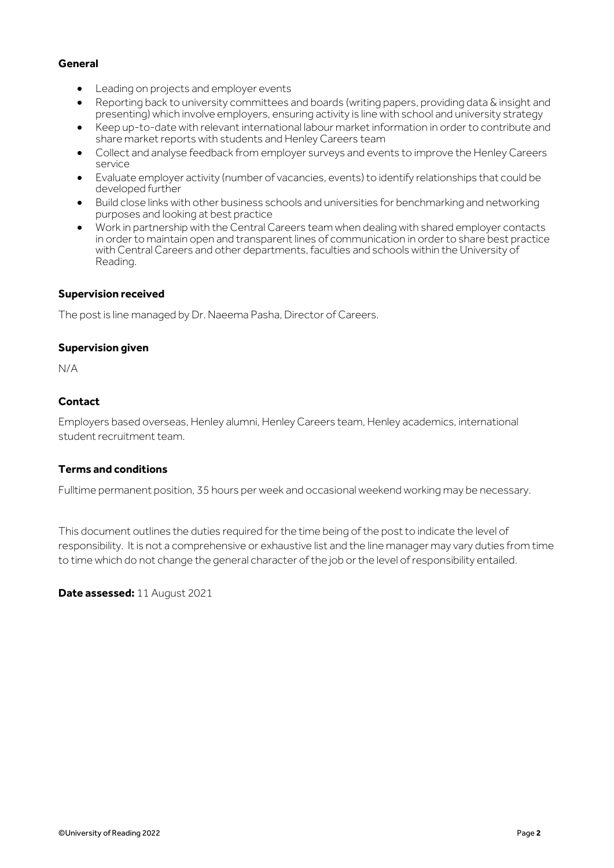### **General**

- Leading on projects and employer events
- Reporting back to university committees and boards (writing papers, providing data & insight and presenting) which involve employers, ensuring activity is line with school and university strategy
- Keep up-to-date with relevant international labour market information in order to contribute and share market reports with students and Henley Careers team
- Collect and analyse feedback from employer surveys and events to improve the Henley Careers service
- Evaluate employer activity (number of vacancies, events) to identify relationships that could be developed further
- Build close links with other business schools and universities for benchmarking and networking purposes and looking at best practice
- Work in partnership with the Central Careers team when dealing with shared employer contacts in order to maintain open and transparent lines of communication in order to share best practice with Central Careers and other departments, faculties and schools within the University of Reading.

### **Supervision received**

The post is line managed by Dr. Naeema Pasha, Director of Careers.

#### **Supervision given**

N/A

# **Contact**

Employers based overseas, Henley alumni, Henley Careers team, Henley academics, international student recruitment team.

#### **Terms and conditions**

Fulltime permanent position, 35 hours per week and occasional weekend working may be necessary.

This document outlines the duties required for the time being of the post to indicate the level of responsibility. It is not a comprehensive or exhaustive list and the line manager may vary duties from time to time which do not change the general character of the job or the level of responsibility entailed.

**Date assessed:** 11 August 2021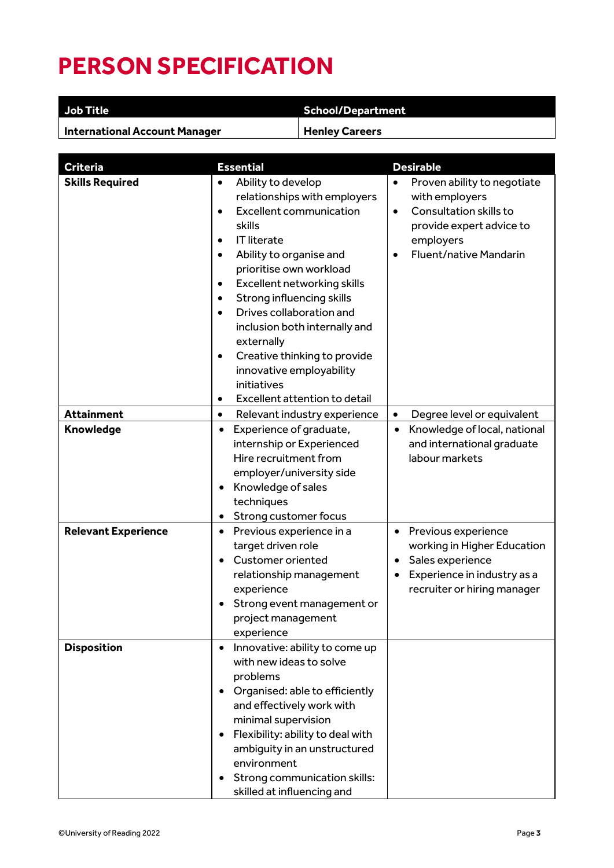# **PERSON SPECIFICATION**

| Job Title                     | <b>School/Department</b> |
|-------------------------------|--------------------------|
| International Account Manager | <b>Henley Careers</b>    |

| <b>Criteria</b>            | <b>Essential</b>                                                | <b>Desirable</b>                          |
|----------------------------|-----------------------------------------------------------------|-------------------------------------------|
| <b>Skills Required</b>     | Ability to develop<br>$\bullet$                                 | Proven ability to negotiate<br>$\bullet$  |
|                            | relationships with employers                                    | with employers                            |
|                            | <b>Excellent communication</b><br>$\bullet$                     | Consultation skills to<br>$\bullet$       |
|                            | skills                                                          | provide expert advice to                  |
|                            | <b>IT literate</b><br>$\bullet$                                 | employers                                 |
|                            | Ability to organise and<br>$\bullet$                            | Fluent/native Mandarin<br>$\bullet$       |
|                            | prioritise own workload                                         |                                           |
|                            | <b>Excellent networking skills</b><br>٠                         |                                           |
|                            | Strong influencing skills<br>$\bullet$                          |                                           |
|                            | Drives collaboration and<br>$\bullet$                           |                                           |
|                            | inclusion both internally and                                   |                                           |
|                            | externally                                                      |                                           |
|                            | Creative thinking to provide<br>٠                               |                                           |
|                            | innovative employability                                        |                                           |
|                            | initiatives                                                     |                                           |
|                            | Excellent attention to detail<br>$\bullet$                      |                                           |
| <b>Attainment</b>          | Relevant industry experience<br>$\bullet$                       | Degree level or equivalent<br>$\bullet$   |
| <b>Knowledge</b>           | Experience of graduate,<br>$\bullet$                            | Knowledge of local, national<br>$\bullet$ |
|                            | internship or Experienced                                       | and international graduate                |
|                            | Hire recruitment from                                           | labour markets                            |
|                            | employer/university side                                        |                                           |
|                            | Knowledge of sales<br>$\bullet$                                 |                                           |
|                            | techniques                                                      |                                           |
|                            | Strong customer focus<br>$\bullet$                              |                                           |
| <b>Relevant Experience</b> | Previous experience in a<br>$\bullet$                           | Previous experience<br>$\bullet$          |
|                            | target driven role                                              | working in Higher Education               |
|                            | Customer oriented<br>$\bullet$                                  | Sales experience<br>٠                     |
|                            | relationship management                                         | Experience in industry as a<br>٠          |
|                            | experience                                                      | recruiter or hiring manager               |
|                            | Strong event management or                                      |                                           |
|                            | project management                                              |                                           |
|                            | experience                                                      |                                           |
| <b>Disposition</b>         | Innovative: ability to come up<br>$\bullet$                     |                                           |
|                            | with new ideas to solve                                         |                                           |
|                            | problems                                                        |                                           |
|                            | Organised: able to efficiently<br>$\bullet$                     |                                           |
|                            | and effectively work with                                       |                                           |
|                            | minimal supervision                                             |                                           |
|                            | Flexibility: ability to deal with<br>$\bullet$                  |                                           |
|                            | ambiguity in an unstructured                                    |                                           |
|                            | environment                                                     |                                           |
|                            | Strong communication skills:<br>٠<br>skilled at influencing and |                                           |